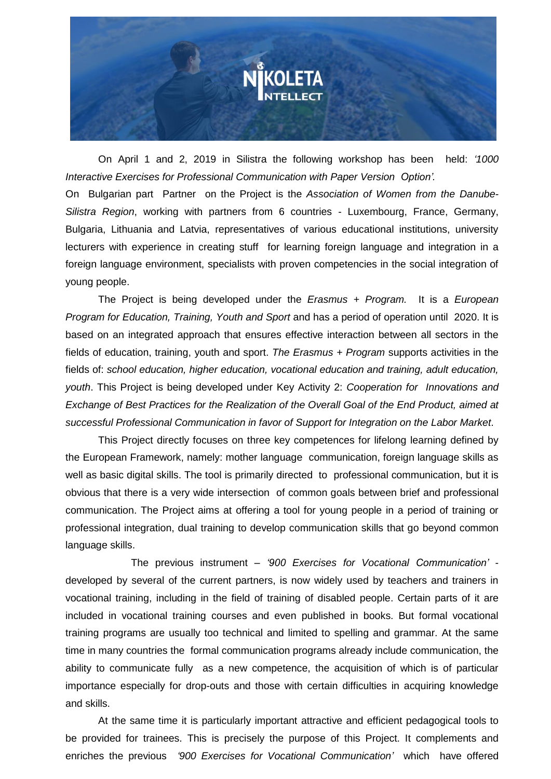

On April 1 and 2, 2019 in Silistra the following workshop has been held: *'1000 Interactive Exercises for Professional Communication with Paper Version Option'.* On Bulgarian part Partner on the Project is the *Association of Women from the Danube-Silistra Region*, working with partners from 6 countries - Luxembourg, France, Germany, Bulgaria, Lithuania and Latvia, representatives of various educational institutions, university lecturers with experience in creating stuff for learning foreign language and integration in a foreign language environment, specialists with proven competencies in the social integration of young people.

The Project is being developed under the *Erasmus + Program.* It is a *European Program for Education, Training, Youth and Sport* and has a period of operation until 2020. It is based on an integrated approach that ensures effective interaction between all sectors in the fields of education, training, youth and sport. *The Erasmus + Program* supports activities in the fields of: *school education, higher education, vocational education and training, adult education, youth*. This Project is being developed under Key Activity 2: *Cooperation for Innovations and Exchange of Best Practices for the Realization of the Overall Goal of the End Product, aimed at successful Professional Communication in favor of Support for Integration on the Labor Market*.

This Project directly focuses on three key competences for lifelong learning defined by the European Framework, namely: mother language communication, foreign language skills as well as basic digital skills. The tool is primarily directed to professional communication, but it is obvious that there is a very wide intersection of common goals between brief and professional communication. The Project aims at offering a tool for young people in a period of training or professional integration, dual training to develop communication skills that go beyond common language skills.

The previous instrument – *'900 Exercises for Vocational Communication'*  developed by several of the current partners, is now widely used by teachers and trainers in vocational training, including in the field of training of disabled people. Certain parts of it are included in vocational training courses and even published in books. But formal vocational training programs are usually too technical and limited to spelling and grammar. At the same time in many countries the formal communication programs already include communication, the ability to communicate fully as a new competence, the acquisition of which is of particular importance especially for drop-outs and those with certain difficulties in acquiring knowledge and skills.

At the same time it is particularly important attractive and efficient pedagogical tools to be provided for trainees. This is precisely the purpose of this Project. It complements and enriches the previous *'900 Exercises for Vocational Communication'* which have offered